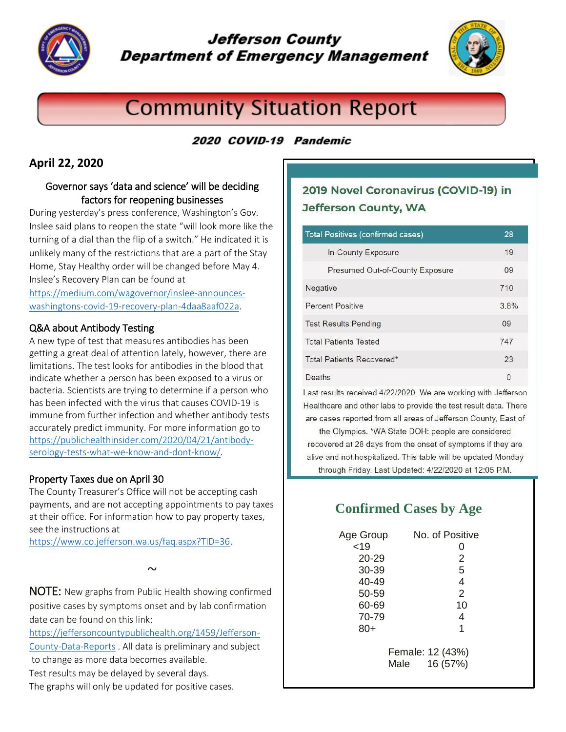

# **Jefferson County Department of Emergency Management**



# **Community Situation Report**

## 2020 COVID-19 Pandemic

### **April 22, 2020**

### Governor says 'data and science' will be deciding factors for reopening businesses

During yesterday's press conference, Washington's Gov. Inslee said plans to reopen the state "will look more like the turning of a dial than the flip of a switch." He indicated it is unlikely many of the restrictions that are a part of the Stay Home, Stay Healthy order will be changed before May 4. Inslee's Recovery Plan can be found at

[https://medium.com/wagovernor/inslee-announces](https://medium.com/wagovernor/inslee-announces-washingtons-covid-19-recovery-plan-4daa8aaf022a)[washingtons-covid-19-recovery-plan-4daa8aaf022a.](https://medium.com/wagovernor/inslee-announces-washingtons-covid-19-recovery-plan-4daa8aaf022a)

### Q&A about Antibody Testing

A new type of test that measures antibodies has been getting a great deal of attention lately, however, there are limitations. The test looks for antibodies in the blood that indicate whether a person has been exposed to a virus or bacteria. Scientists are trying to determine if a person who has been infected with the virus that causes COVID-19 is immune from further infection and whether antibody tests accurately predict immunity. For more information go to [https://publichealthinsider.com/2020/04/21/antibody](https://publichealthinsider.com/2020/04/21/antibody-serology-tests-what-we-know-and-dont-know/)[serology-tests-what-we-know-and-dont-know/.](https://publichealthinsider.com/2020/04/21/antibody-serology-tests-what-we-know-and-dont-know/)

### Property Taxes due on April 30

The County Treasurer's Office will not be accepting cash payments, and are not accepting appointments to pay taxes at their office. For information how to pay property taxes, see the instructions at

[https://www.co.jefferson.wa.us/faq.aspx?TID=36.](https://www.co.jefferson.wa.us/faq.aspx?TID=36)

 $\sim$ 

NOTE: New graphs from Public Health showing confirmed positive cases by symptoms onset and by lab confirmation date can be found on this link:

[https://jeffersoncountypublichealth.org/1459/Jefferson-](https://jeffersoncountypublichealth.org/1459/Jefferson-County-Data-Reports)[County-Data-Reports](https://jeffersoncountypublichealth.org/1459/Jefferson-County-Data-Reports) . All data is preliminary and subject to change as more data becomes available. Test results may be delayed by several days.

The graphs will only be updated for positive cases.

Last results received 4/22/2020. We are working with Jefferson Healthcare and other labs to provide the test result data. There

are cases reported from all areas of Jefferson County, East of the Olympics. \*WA State DOH: people are considered recovered at 28 days from the onset of symptoms if they are alive and not hospitalized. This table will be updated Monday through Friday. Last Updated: 4/22/2020 at 12:05 P.M.

# **Confirmed Cases by Age**

| Age Group | No. of Positive                      |
|-----------|--------------------------------------|
| < 19      | 0                                    |
| 20-29     | 2                                    |
| 30-39     | 5                                    |
| 40-49     | 4                                    |
| 50-59     | $\overline{2}$                       |
| 60-69     | 10                                   |
| 70-79     | 4                                    |
| 80+       | 1                                    |
|           | Female: 12 (43%)<br>16 (57%)<br>Male |

# 2019 Novel Coronavirus (COVID-19) in **Jefferson County, WA**

| <b>Total Positives (confirmed cases)</b> | 28   |
|------------------------------------------|------|
| <b>In-County Exposure</b>                | 19   |
| <b>Presumed Out-of-County Exposure</b>   | 09   |
| Negative                                 | 710  |
| <b>Percent Positive</b>                  | 3.8% |
| <b>Test Results Pending</b>              | 09   |
| <b>Total Patients Tested</b>             | 747  |
| Total Patients Recovered*                | 23   |
| Deaths                                   | 0    |